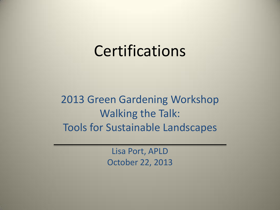#### **Certifications**

2013 Green Gardening Workshop Walking the Talk: Tools for Sustainable Landscapes

> Lisa Port, APLD October 22, 2013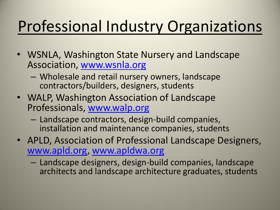# Professional Industry Organizations

- WSNLA, Washington State Nursery and Landscape Association, [www.wsnla.org](http://www.wsnla.org/)
	- Wholesale and retail nursery owners, landscape contractors/builders, designers, students
- WALP, Washington Association of Landscape Professionals, [www.walp.org](http://www.walp.org/)
	- Landscape contractors, design-build companies, installation and maintenance companies, students
- APLD, Association of Professional Landscape Designers, [www.apld.org](http://www.apld.org/), [www.apldwa.org](http://www.apldwa.org/)
	- Landscape designers, design-build companies, landscape architects and landscape architecture graduates, students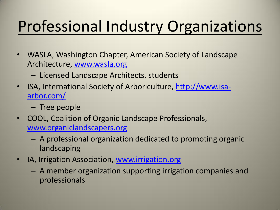# Professional Industry Organizations

- WASLA, Washington Chapter, American Society of Landscape Architecture, [www.wasla.org](http://www.wasla.org/)
	- Licensed Landscape Architects, students
- ISA, International Society of Arboriculture, [http://www.isa](http://www.isa-arbor.com/)[arbor.com/](http://www.isa-arbor.com/)
	- Tree people
- COOL, Coalition of Organic Landscape Professionals, [www.organiclandscapers.org](http://www.organiclandscapers.org/)
	- A professional organization dedicated to promoting organic landscaping
- IA, Irrigation Association, [www.irrigation.org](http://www.irrigation.org/)
	- A member organization supporting irrigation companies and professionals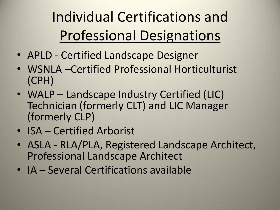Individual Certifications and Professional Designations

- APLD Certified Landscape Designer
- WSNLA –Certified Professional Horticulturist (CPH)
- WALP Landscape Industry Certified (LIC) Technician (formerly CLT) and LIC Manager (formerly CLP)
- ISA Certified Arborist
- ASLA RLA/PLA, Registered Landscape Architect, Professional Landscape Architect
- IA Several Certifications available